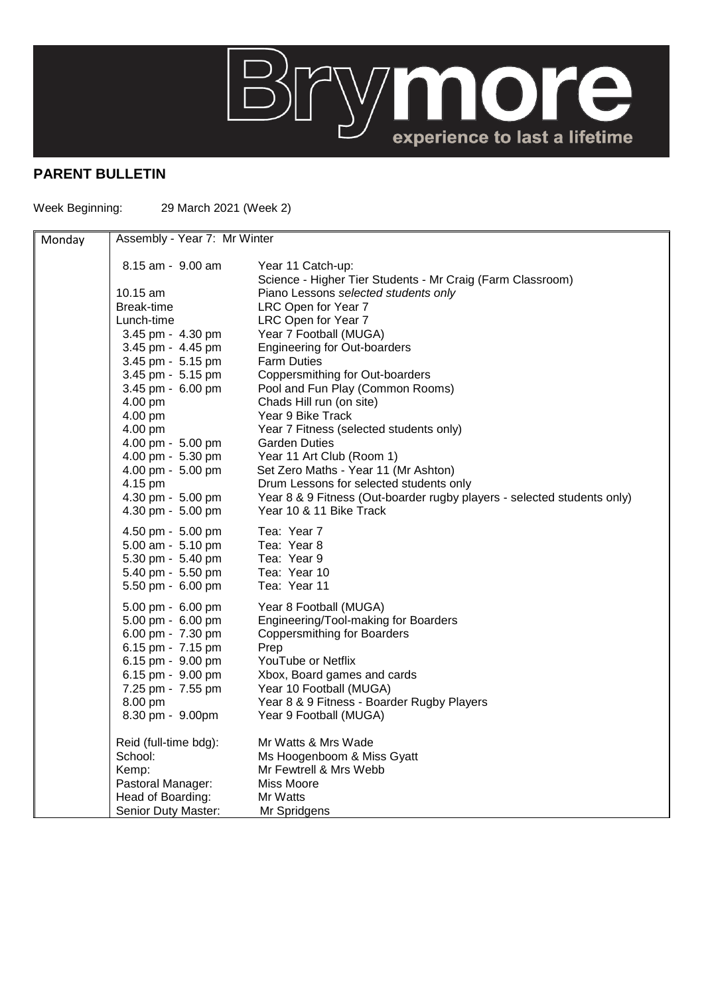

## **PARENT BULLETIN**

Week Beginning: 29 March 2021 (Week 2)

| Monday | Assembly - Year 7: Mr Winter |                                                                         |  |
|--------|------------------------------|-------------------------------------------------------------------------|--|
|        | 8.15 am - 9.00 am            | Year 11 Catch-up:                                                       |  |
|        |                              | Science - Higher Tier Students - Mr Craig (Farm Classroom)              |  |
|        | 10.15 $am$                   | Piano Lessons selected students only                                    |  |
|        | Break-time                   | LRC Open for Year 7                                                     |  |
|        | Lunch-time                   | LRC Open for Year 7                                                     |  |
|        | 3.45 pm - 4.30 pm            | Year 7 Football (MUGA)                                                  |  |
|        | 3.45 pm - 4.45 pm            | <b>Engineering for Out-boarders</b>                                     |  |
|        | 3.45 pm - 5.15 pm            | <b>Farm Duties</b>                                                      |  |
|        | 3.45 pm - 5.15 pm            | Coppersmithing for Out-boarders                                         |  |
|        | 3.45 pm - 6.00 pm            | Pool and Fun Play (Common Rooms)                                        |  |
|        | 4.00 pm                      | Chads Hill run (on site)                                                |  |
|        | 4.00 pm                      | Year 9 Bike Track                                                       |  |
|        | 4.00 pm                      | Year 7 Fitness (selected students only)                                 |  |
|        | 4.00 pm - 5.00 pm            | <b>Garden Duties</b>                                                    |  |
|        | 4.00 pm - 5.30 pm            | Year 11 Art Club (Room 1)                                               |  |
|        | 4.00 pm - 5.00 pm            | Set Zero Maths - Year 11 (Mr Ashton)                                    |  |
|        | 4.15 pm                      | Drum Lessons for selected students only                                 |  |
|        | 4.30 pm - 5.00 pm            | Year 8 & 9 Fitness (Out-boarder rugby players - selected students only) |  |
|        | 4.30 pm - 5.00 pm            | Year 10 & 11 Bike Track                                                 |  |
|        | 4.50 pm - 5.00 pm            | Tea: Year 7                                                             |  |
|        | 5.00 am - 5.10 pm            | Tea: Year 8                                                             |  |
|        | 5.30 pm - 5.40 pm            | Tea: Year 9                                                             |  |
|        | 5.40 pm - 5.50 pm            | Tea: Year 10                                                            |  |
|        | 5.50 pm - 6.00 pm            | Tea: Year 11                                                            |  |
|        | 5.00 pm - 6.00 pm            | Year 8 Football (MUGA)                                                  |  |
|        | 5.00 pm - 6.00 pm            | Engineering/Tool-making for Boarders                                    |  |
|        | 6.00 pm - 7.30 pm            | <b>Coppersmithing for Boarders</b>                                      |  |
|        | 6.15 pm - 7.15 pm            | Prep                                                                    |  |
|        | 6.15 pm - 9.00 pm            | YouTube or Netflix                                                      |  |
|        | 6.15 pm - 9.00 pm            | Xbox, Board games and cards                                             |  |
|        | 7.25 pm - 7.55 pm            | Year 10 Football (MUGA)                                                 |  |
|        | 8.00 pm                      | Year 8 & 9 Fitness - Boarder Rugby Players                              |  |
|        | 8.30 pm - 9.00pm             | Year 9 Football (MUGA)                                                  |  |
|        | Reid (full-time bdg):        | Mr Watts & Mrs Wade                                                     |  |
|        | School:                      | Ms Hoogenboom & Miss Gyatt                                              |  |
|        | Kemp:                        | Mr Fewtrell & Mrs Webb                                                  |  |
|        | Pastoral Manager:            | Miss Moore                                                              |  |
|        | Head of Boarding:            | Mr Watts                                                                |  |
|        | Senior Duty Master:          | Mr Spridgens                                                            |  |
|        |                              |                                                                         |  |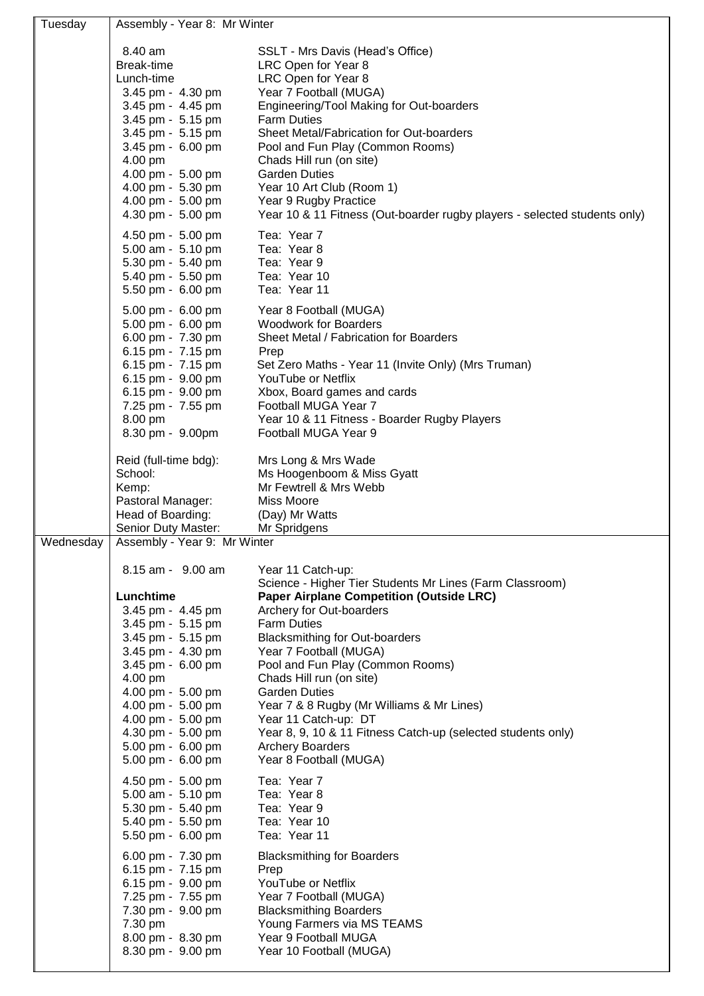| Tuesday   | Assembly - Year 8: Mr Winter                                                                                                                                                                                                                                                                                                                                                                                                                                                                                                                                       |                                                                                                                                                                                                                                                                                                                                                                                                                                                                                                                                                                                                                                                                                                                                                                                                          |  |
|-----------|--------------------------------------------------------------------------------------------------------------------------------------------------------------------------------------------------------------------------------------------------------------------------------------------------------------------------------------------------------------------------------------------------------------------------------------------------------------------------------------------------------------------------------------------------------------------|----------------------------------------------------------------------------------------------------------------------------------------------------------------------------------------------------------------------------------------------------------------------------------------------------------------------------------------------------------------------------------------------------------------------------------------------------------------------------------------------------------------------------------------------------------------------------------------------------------------------------------------------------------------------------------------------------------------------------------------------------------------------------------------------------------|--|
|           | 8.40 am<br>Break-time<br>Lunch-time<br>3.45 pm - 4.30 pm<br>3.45 pm - 4.45 pm<br>3.45 pm - 5.15 pm<br>3.45 pm - 5.15 pm<br>3.45 pm - 6.00 pm<br>4.00 pm<br>4.00 pm - 5.00 pm<br>4.00 pm - 5.30 pm<br>4.00 pm - 5.00 pm<br>4.30 pm - 5.00 pm                                                                                                                                                                                                                                                                                                                        | SSLT - Mrs Davis (Head's Office)<br>LRC Open for Year 8<br>LRC Open for Year 8<br>Year 7 Football (MUGA)<br>Engineering/Tool Making for Out-boarders<br><b>Farm Duties</b><br>Sheet Metal/Fabrication for Out-boarders<br>Pool and Fun Play (Common Rooms)<br>Chads Hill run (on site)<br><b>Garden Duties</b><br>Year 10 Art Club (Room 1)<br>Year 9 Rugby Practice<br>Year 10 & 11 Fitness (Out-boarder rugby players - selected students only)                                                                                                                                                                                                                                                                                                                                                        |  |
|           | 4.50 pm - 5.00 pm<br>5.00 am - 5.10 pm<br>5.30 pm - 5.40 pm<br>5.40 pm - 5.50 pm<br>5.50 pm - 6.00 pm                                                                                                                                                                                                                                                                                                                                                                                                                                                              | Tea: Year 7<br>Tea: Year 8<br>Tea: Year 9<br>Tea: Year 10<br>Tea: Year 11                                                                                                                                                                                                                                                                                                                                                                                                                                                                                                                                                                                                                                                                                                                                |  |
|           | 5.00 pm - 6.00 pm<br>5.00 pm - 6.00 pm<br>6.00 pm - 7.30 pm<br>6.15 pm - 7.15 pm<br>6.15 pm - 7.15 pm<br>6.15 pm - 9.00 pm<br>6.15 pm - 9.00 pm<br>7.25 pm - 7.55 pm<br>8.00 pm<br>8.30 pm - 9.00pm                                                                                                                                                                                                                                                                                                                                                                | Year 8 Football (MUGA)<br><b>Woodwork for Boarders</b><br>Sheet Metal / Fabrication for Boarders<br>Prep<br>Set Zero Maths - Year 11 (Invite Only) (Mrs Truman)<br>YouTube or Netflix<br>Xbox, Board games and cards<br>Football MUGA Year 7<br>Year 10 & 11 Fitness - Boarder Rugby Players<br>Football MUGA Year 9                                                                                                                                                                                                                                                                                                                                                                                                                                                                                     |  |
|           | Reid (full-time bdg):<br>School:<br>Kemp:<br>Pastoral Manager:<br>Head of Boarding:<br>Senior Duty Master:                                                                                                                                                                                                                                                                                                                                                                                                                                                         | Mrs Long & Mrs Wade<br>Ms Hoogenboom & Miss Gyatt<br>Mr Fewtrell & Mrs Webb<br>Miss Moore<br>(Day) Mr Watts<br>Mr Spridgens                                                                                                                                                                                                                                                                                                                                                                                                                                                                                                                                                                                                                                                                              |  |
| Wednesday | Assembly - Year 9: Mr Winter<br>8.15 am - 9.00 am<br>Lunchtime<br>3.45 pm - 4.45 pm<br>3.45 pm - 5.15 pm<br>3.45 pm - 5.15 pm<br>3.45 pm - 4.30 pm<br>3.45 pm - 6.00 pm<br>4.00 pm<br>4.00 pm - 5.00 pm<br>4.00 pm - 5.00 pm<br>4.00 pm - 5.00 pm<br>4.30 pm - 5.00 pm<br>5.00 pm - 6.00 pm<br>5.00 pm - 6.00 pm<br>4.50 pm - 5.00 pm<br>5.00 am - 5.10 pm<br>5.30 pm - 5.40 pm<br>5.40 pm - 5.50 pm<br>5.50 pm - 6.00 pm<br>6.00 pm - 7.30 pm<br>6.15 pm - 7.15 pm<br>6.15 pm - 9.00 pm<br>7.25 pm - 7.55 pm<br>7.30 pm - 9.00 pm<br>7.30 pm<br>8.00 pm - 8.30 pm | Year 11 Catch-up:<br>Science - Higher Tier Students Mr Lines (Farm Classroom)<br><b>Paper Airplane Competition (Outside LRC)</b><br>Archery for Out-boarders<br><b>Farm Duties</b><br><b>Blacksmithing for Out-boarders</b><br>Year 7 Football (MUGA)<br>Pool and Fun Play (Common Rooms)<br>Chads Hill run (on site)<br><b>Garden Duties</b><br>Year 7 & 8 Rugby (Mr Williams & Mr Lines)<br>Year 11 Catch-up: DT<br>Year 8, 9, 10 & 11 Fitness Catch-up (selected students only)<br><b>Archery Boarders</b><br>Year 8 Football (MUGA)<br>Tea: Year 7<br>Tea: Year 8<br>Tea: Year 9<br>Tea: Year 10<br>Tea: Year 11<br><b>Blacksmithing for Boarders</b><br>Prep<br>YouTube or Netflix<br>Year 7 Football (MUGA)<br><b>Blacksmithing Boarders</b><br>Young Farmers via MS TEAMS<br>Year 9 Football MUGA |  |